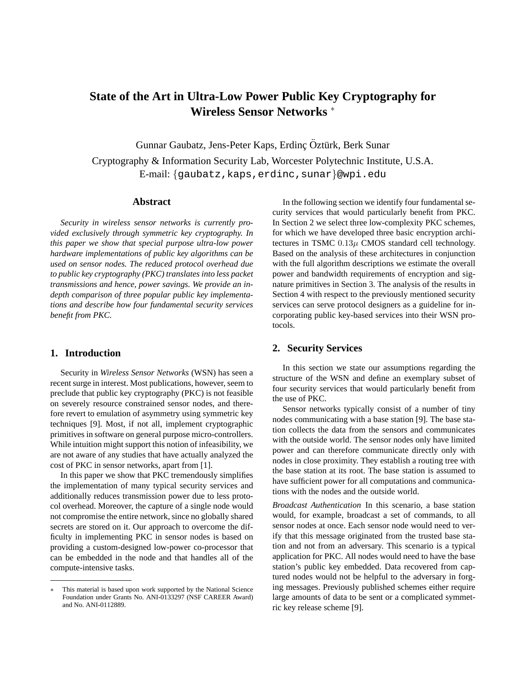# **State of the Art in Ultra-Low Power Public Key Cryptography for Wireless Sensor Networks** <sup>∗</sup>

Gunnar Gaubatz, Jens-Peter Kaps, Erdinc Öztürk, Berk Sunar

Cryptography & Information Security Lab, Worcester Polytechnic Institute, U.S.A. E-mail: {gaubatz,kaps,erdinc,sunar}@wpi.edu

### **Abstract**

*Security in wireless sensor networks is currently provided exclusively through symmetric key cryptography. In this paper we show that special purpose ultra-low power hardware implementations of public key algorithms can be used on sensor nodes. The reduced protocol overhead due to public key cryptography (PKC) translates into less packet transmissions and hence, power savings. We provide an indepth comparison of three popular public key implementations and describe how four fundamental security services benefit from PKC.*

# **1. Introduction**

Security in *Wireless Sensor Networks* (WSN) has seen a recent surge in interest. Most publications, however, seem to preclude that public key cryptography (PKC) is not feasible on severely resource constrained sensor nodes, and therefore revert to emulation of asymmetry using symmetric key techniques [9]. Most, if not all, implement cryptographic primitives in software on general purpose micro-controllers. While intuition might support this notion of infeasibility, we are not aware of any studies that have actually analyzed the cost of PKC in sensor networks, apart from [1].

In this paper we show that PKC tremendously simplifies the implementation of many typical security services and additionally reduces transmission power due to less protocol overhead. Moreover, the capture of a single node would not compromise the entire network, since no globally shared secrets are stored on it. Our approach to overcome the difficulty in implementing PKC in sensor nodes is based on providing a custom-designed low-power co-processor that can be embedded in the node and that handles all of the compute-intensive tasks.

In the following section we identify four fundamental security services that would particularly benefit from PKC. In Section 2 we select three low-complexity PKC schemes, for which we have developed three basic encryption architectures in TSMC  $0.13\mu$  CMOS standard cell technology. Based on the analysis of these architectures in conjunction with the full algorithm descriptions we estimate the overall power and bandwidth requirements of encryption and signature primitives in Section 3. The analysis of the results in Section 4 with respect to the previously mentioned security services can serve protocol designers as a guideline for incorporating public key-based services into their WSN protocols.

## **2. Security Services**

In this section we state our assumptions regarding the structure of the WSN and define an exemplary subset of four security services that would particularly benefit from the use of PKC.

Sensor networks typically consist of a number of tiny nodes communicating with a base station [9]. The base station collects the data from the sensors and communicates with the outside world. The sensor nodes only have limited power and can therefore communicate directly only with nodes in close proximity. They establish a routing tree with the base station at its root. The base station is assumed to have sufficient power for all computations and communications with the nodes and the outside world.

*Broadcast Authentication* In this scenario, a base station would, for example, broadcast a set of commands, to all sensor nodes at once. Each sensor node would need to verify that this message originated from the trusted base station and not from an adversary. This scenario is a typical application for PKC. All nodes would need to have the base station's public key embedded. Data recovered from captured nodes would not be helpful to the adversary in forging messages. Previously published schemes either require large amounts of data to be sent or a complicated symmetric key release scheme [9].

This material is based upon work supported by the National Science Foundation under Grants No. ANI-0133297 (NSF CAREER Award) and No. ANI-0112889.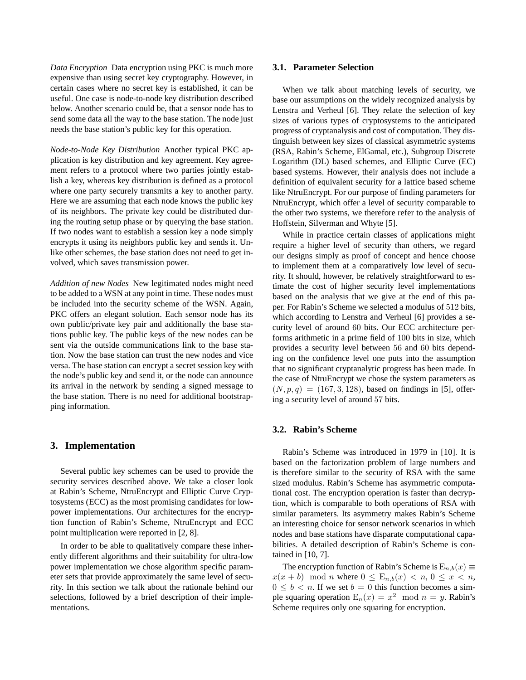*Data Encryption* Data encryption using PKC is much more expensive than using secret key cryptography. However, in certain cases where no secret key is established, it can be useful. One case is node-to-node key distribution described below. Another scenario could be, that a sensor node has to send some data all the way to the base station. The node just needs the base station's public key for this operation.

*Node-to-Node Key Distribution* Another typical PKC application is key distribution and key agreement. Key agreement refers to a protocol where two parties jointly establish a key, whereas key distribution is defined as a protocol where one party securely transmits a key to another party. Here we are assuming that each node knows the public key of its neighbors. The private key could be distributed during the routing setup phase or by querying the base station. If two nodes want to establish a session key a node simply encrypts it using its neighbors public key and sends it. Unlike other schemes, the base station does not need to get involved, which saves transmission power.

*Addition of new Nodes* New legitimated nodes might need to be added to a WSN at any point in time. These nodes must be included into the security scheme of the WSN. Again, PKC offers an elegant solution. Each sensor node has its own public/private key pair and additionally the base stations public key. The public keys of the new nodes can be sent via the outside communications link to the base station. Now the base station can trust the new nodes and vice versa. The base station can encrypt a secret session key with the node's public key and send it, or the node can announce its arrival in the network by sending a signed message to the base station. There is no need for additional bootstrapping information.

# **3. Implementation**

Several public key schemes can be used to provide the security services described above. We take a closer look at Rabin's Scheme, NtruEncrypt and Elliptic Curve Cryptosystems (ECC) as the most promising candidates for lowpower implementations. Our architectures for the encryption function of Rabin's Scheme, NtruEncrypt and ECC point multiplication were reported in [2, 8].

In order to be able to qualitatively compare these inherently different algorithms and their suitability for ultra-low power implementation we chose algorithm specific parameter sets that provide approximately the same level of security. In this section we talk about the rationale behind our selections, followed by a brief description of their implementations.

#### **3.1. Parameter Selection**

When we talk about matching levels of security, we base our assumptions on the widely recognized analysis by Lenstra and Verheul [6]. They relate the selection of key sizes of various types of cryptosystems to the anticipated progress of cryptanalysis and cost of computation. They distinguish between key sizes of classical asymmetric systems (RSA, Rabin's Scheme, ElGamal, etc.), Subgroup Discrete Logarithm (DL) based schemes, and Elliptic Curve (EC) based systems. However, their analysis does not include a definition of equivalent security for a lattice based scheme like NtruEncrypt. For our purpose of finding parameters for NtruEncrypt, which offer a level of security comparable to the other two systems, we therefore refer to the analysis of Hoffstein, Silverman and Whyte [5].

While in practice certain classes of applications might require a higher level of security than others, we regard our designs simply as proof of concept and hence choose to implement them at a comparatively low level of security. It should, however, be relatively straightforward to estimate the cost of higher security level implementations based on the analysis that we give at the end of this paper. For Rabin's Scheme we selected a modulus of 512 bits, which according to Lenstra and Verheul [6] provides a security level of around 60 bits. Our ECC architecture performs arithmetic in a prime field of 100 bits in size, which provides a security level between 56 and 60 bits depending on the confidence level one puts into the assumption that no significant cryptanalytic progress has been made. In the case of NtruEncrypt we chose the system parameters as  $(N, p, q) = (167, 3, 128)$ , based on findings in [5], offering a security level of around 57 bits.

# **3.2. Rabin's Scheme**

Rabin's Scheme was introduced in 1979 in [10]. It is based on the factorization problem of large numbers and is therefore similar to the security of RSA with the same sized modulus. Rabin's Scheme has asymmetric computational cost. The encryption operation is faster than decryption, which is comparable to both operations of RSA with similar parameters. Its asymmetry makes Rabin's Scheme an interesting choice for sensor network scenarios in which nodes and base stations have disparate computational capabilities. A detailed description of Rabin's Scheme is contained in [10, 7].

The encryption function of Rabin's Scheme is  $E_{n,b}(x) \equiv$  $x(x + b) \mod n$  where  $0 \le E_{n,b}(x) < n, 0 \le x < n$ ,  $0 \leq b < n$ . If we set  $b = 0$  this function becomes a simple squaring operation  $E_n(x) = x^2 \mod n = y$ . Rabin's Scheme requires only one squaring for encryption.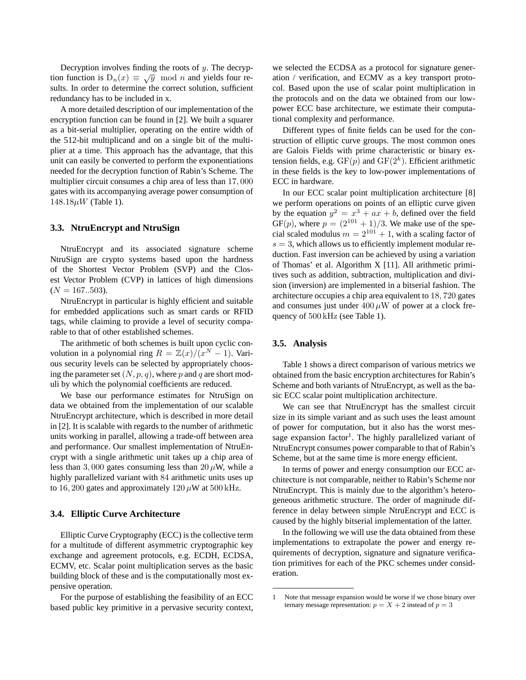Decryption involves finding the roots of  $y$ . The decryp-Decryption involves miding the roots of y. The decryp-<br>tion function is  $D_n(x) \equiv \sqrt{y} \mod n$  and yields four results. In order to determine the correct solution, sufficient redundancy has to be included in x.

A more detailed description of our implementation of the encryption function can be found in [2]. We built a squarer as a bit-serial multiplier, operating on the entire width of the 512-bit multiplicand and on a single bit of the multiplier at a time. This approach has the advantage, that this unit can easily be converted to perform the exponentiations needed for the decryption function of Rabin's Scheme. The multiplier circuit consumes a chip area of less than 17, 000 gates with its accompanying average power consumption of  $148.18 \mu W$  (Table 1).

### **3.3. NtruEncrypt and NtruSign**

NtruEncrypt and its associated signature scheme NtruSign are crypto systems based upon the hardness of the Shortest Vector Problem (SVP) and the Closest Vector Problem (CVP) in lattices of high dimensions  $(N = 167..503)$ .

NtruEncrypt in particular is highly efficient and suitable for embedded applications such as smart cards or RFID tags, while claiming to provide a level of security comparable to that of other established schemes.

The arithmetic of both schemes is built upon cyclic convolution in a polynomial ring  $R = \mathbb{Z}(x)/(x^N - 1)$ . Various security levels can be selected by appropriately choosing the parameter set  $(N, p, q)$ , where p and q are short moduli by which the polynomial coefficients are reduced.

We base our performance estimates for NtruSign on data we obtained from the implementation of our scalable NtruEncrypt architecture, which is described in more detail in [2]. It is scalable with regards to the number of arithmetic units working in parallel, allowing a trade-off between area and performance. Our smallest implementation of NtruEncrypt with a single arithmetic unit takes up a chip area of less than 3,000 gates consuming less than  $20 \mu$ W, while a highly parallelized variant with 84 arithmetic units uses up to 16, 200 gates and approximately 120  $\mu$ W at 500 kHz.

## **3.4. Elliptic Curve Architecture**

Elliptic Curve Cryptography (ECC) is the collective term for a multitude of different asymmetric cryptographic key exchange and agreement protocols, e.g. ECDH, ECDSA, ECMV, etc. Scalar point multiplication serves as the basic building block of these and is the computationally most expensive operation.

For the purpose of establishing the feasibility of an ECC based public key primitive in a pervasive security context,

we selected the ECDSA as a protocol for signature generation / verification, and ECMV as a key transport protocol. Based upon the use of scalar point multiplication in the protocols and on the data we obtained from our lowpower ECC base architecture, we estimate their computational complexity and performance.

Different types of finite fields can be used for the construction of elliptic curve groups. The most common ones are Galois Fields with prime characteristic or binary extension fields, e.g.  $GF(p)$  and  $GF(2<sup>k</sup>)$ . Efficient arithmetic in these fields is the key to low-power implementations of ECC in hardware.

In our ECC scalar point multiplication architecture [8] we perform operations on points of an elliptic curve given by the equation  $y^2 = x^3 + ax + b$ , defined over the field  $GF(p)$ , where  $p = (2^{101} + 1)/3$ . We make use of the special scaled modulus  $m = 2^{101} + 1$ , with a scaling factor of  $s = 3$ , which allows us to efficiently implement modular reduction. Fast inversion can be achieved by using a variation of Thomas' et al. Algorithm X [11]. All arithmetic primitives such as addition, subtraction, multiplication and division (inversion) are implemented in a bitserial fashion. The architecture occupies a chip area equivalent to 18, 720 gates and consumes just under  $400 \mu W$  of power at a clock frequency of 500 kHz (see Table 1).

### **3.5. Analysis**

Table 1 shows a direct comparison of various metrics we obtained from the basic encryption architectures for Rabin's Scheme and both variants of NtruEncrypt, as well as the basic ECC scalar point multiplication architecture.

We can see that NtruEncrypt has the smallest circuit size in its simple variant and as such uses the least amount of power for computation, but it also has the worst message expansion factor<sup>1</sup>. The highly parallelized variant of NtruEncrypt consumes power comparable to that of Rabin's Scheme, but at the same time is more energy efficient.

In terms of power and energy consumption our ECC architecture is not comparable, neither to Rabin's Scheme nor NtruEncrypt. This is mainly due to the algorithm's heterogeneous arithmetic structure. The order of magnitude difference in delay between simple NtruEncrypt and ECC is caused by the highly bitserial implementation of the latter.

In the following we will use the data obtained from these implementations to extrapolate the power and energy requirements of decryption, signature and signature verification primitives for each of the PKC schemes under consideration.

<sup>1</sup> Note that message expansion would be worse if we chose binary over ternary message representation:  $p = X + 2$  instead of  $p = 3$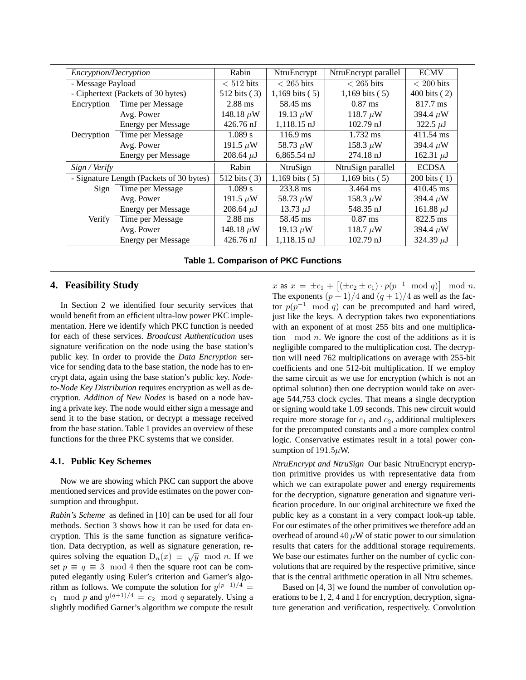| Encryption/Decryption                    |                           | Rabin          | NtruEncrypt           | NtruEncrypt parallel | <b>ECMV</b>            |
|------------------------------------------|---------------------------|----------------|-----------------------|----------------------|------------------------|
| - Message Payload                        |                           | $< 512$ bits   | $< 265$ bits          | $< 265$ bits         | $< 200$ bits           |
| - Ciphertext (Packets of 30 bytes)       |                           | 512 bits (3)   | 1,169 bits $(5)$      | 1,169 bits $(5)$     | $400 \text{ bits}$ (2) |
| Encryption                               | Time per Message          | $2.88$ ms      | 58.45 ms              | $0.87$ ms            | 817.7 ms               |
|                                          | Avg. Power                | 148.18 $\mu$ W | 19.13 $\mu$ W         | 118.7 $\mu$ W        | 394.4 $\mu$ W          |
|                                          | <b>Energy per Message</b> | $426.76$ nJ    | $1,118.15 \text{ nJ}$ | $102.79$ nJ          | 322.5 $\mu$ J          |
| Decryption                               | Time per Message          | 1.089 s        | $116.9$ ms            | $1.732 \text{ ms}$   | 411.54 ms              |
|                                          | Avg. Power                | 191.5 $\mu$ W  | 58.73 $\mu$ W         | 158.3 $\mu$ W        | 394.4 $\mu$ W          |
|                                          | <b>Energy per Message</b> | 208.64 $\mu$ J | $6,865.54 \text{ nJ}$ | $274.18 \text{ nJ}$  | 162.31 $\mu$ J         |
| Sign / Verify                            |                           | Rabin          | NtruSign              | NtruSign parallel    | <b>ECDSA</b>           |
| - Signature Length (Packets of 30 bytes) |                           | 512 bits (3)   | 1,169 bits $(5)$      | 1,169 bits $(5)$     | $200 \text{ bits} (1)$ |
| Sign                                     | Time per Message          | 1.089 s        | 233.8 ms              | 3.464 ms             | 410.45 ms              |
|                                          | Avg. Power                | 191.5 $\mu$ W  | 58.73 $\mu$ W         | 158.3 $\mu$ W        | 394.4 $\mu$ W          |
|                                          | <b>Energy per Message</b> | 208.64 $\mu$ J | 13.73 $\mu$ J         | 548.35 nJ            | 161.88 $\mu$ J         |
| Verify                                   | Time per Message          | $2.88$ ms      | 58.45 ms              | $0.87$ ms            | 822.5 ms               |
|                                          | Avg. Power                | 148.18 $\mu$ W | 19.13 $\mu$ W         | 118.7 $\mu$ W        | 394.4 $\mu$ W          |
|                                          | <b>Energy per Message</b> | $426.76$ nJ    | $1,118.15 \text{ nJ}$ | $102.79$ nJ          | 324.39 $\mu$ J         |

**Table 1. Comparison of PKC Functions**

# **4. Feasibility Study**

In Section 2 we identified four security services that would benefit from an efficient ultra-low power PKC implementation. Here we identify which PKC function is needed for each of these services. *Broadcast Authentication* uses signature verification on the node using the base station's public key. In order to provide the *Data Encryption* service for sending data to the base station, the node has to encrypt data, again using the base station's public key. *Nodeto-Node Key Distribution* requires encryption as well as decryption. *Addition of New Nodes* is based on a node having a private key. The node would either sign a message and send it to the base station, or decrypt a message received from the base station. Table 1 provides an overview of these functions for the three PKC systems that we consider.

### **4.1. Public Key Schemes**

Now we are showing which PKC can support the above mentioned services and provide estimates on the power consumption and throughput.

*Rabin's Scheme* as defined in [10] can be used for all four methods. Section 3 shows how it can be used for data encryption. This is the same function as signature verification. Data decryption, as well as signature generation, requires solving the equation  $D_n(x) \equiv \sqrt{y} \mod n$ . If we set  $p \equiv q \equiv 3 \mod 4$  then the square root can be computed elegantly using Euler's criterion and Garner's algorithm as follows. We compute the solution for  $y^{(p+1)/4} =$  $c_1 \mod p$  and  $y^{(q+1)/4} = c_2 \mod q$  separately. Using a slightly modified Garner's algorithm we compute the result

x as  $x = \pm c_1 +$ £  $(\pm c_2 \pm c_1) \cdot p(p^{-1} \mod q)$ mod n. The exponents  $(p+1)/4$  and  $(q+1)/4$  as well as the factor  $p(p^{-1} \mod q)$  can be precomputed and hard wired, just like the keys. A decryption takes two exponentiations with an exponent of at most 255 bits and one multiplication  $\mod n$ . We ignore the cost of the additions as it is negligible compared to the multiplication cost. The decryption will need 762 multiplications on average with 255-bit coefficients and one 512-bit multiplication. If we employ the same circuit as we use for encryption (which is not an optimal solution) then one decryption would take on average 544,753 clock cycles. That means a single decryption or signing would take 1.09 seconds. This new circuit would require more storage for  $c_1$  and  $c_2$ , additional multiplexers for the precomputed constants and a more complex control logic. Conservative estimates result in a total power consumption of  $191.5\mu$ W.

*NtruEncrypt and NtruSign* Our basic NtruEncrypt encryption primitive provides us with representative data from which we can extrapolate power and energy requirements for the decryption, signature generation and signature verification procedure. In our original architecture we fixed the public key as a constant in a very compact look-up table. For our estimates of the other primitives we therefore add an overhead of around  $40 \mu$ W of static power to our simulation results that caters for the additional storage requirements. We base our estimates further on the number of cyclic convolutions that are required by the respective primitive, since that is the central arithmetic operation in all Ntru schemes.

Based on [4, 3] we found the number of convolution operations to be 1, 2, 4 and 1 for encryption, decryption, signature generation and verification, respectively. Convolution